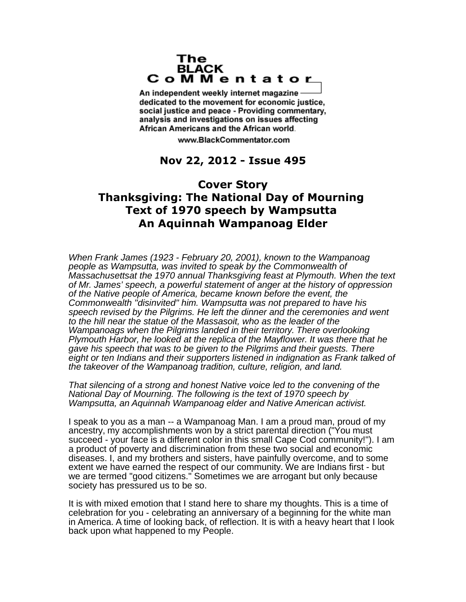## The **BLACK CoMMentator**

An independent weekly internet magazine dedicated to the movement for economic justice. social justice and peace - Providing commentary, analysis and investigations on issues affecting African Americans and the African world.

www.BlackCommentator.com

## **Nov 22, 2012 - Issue 495**

## **Cover Story Thanksgiving: The National Day of Mourning Text of 1970 speech by Wampsutta An Aquinnah Wampanoag Elder**

When Frank James (1923 - February 20, 2001), known to the Wampanoag people as Wampsutta, was invited to speak by the Commonwealth of Massachusettsat the 1970 annual Thanksgiving feast at Plymouth. When the text of Mr. James' speech, a powerful statement of anger at the history of oppression of the Native people of America, became known before the event, the Commonwealth "disinvited" him. Wampsutta was not prepared to have his speech revised by the Pilgrims. He left the dinner and the ceremonies and went to the hill near the statue of the Massasoit, who as the leader of the Wampanoags when the Pilgrims landed in their territory. There overlooking Plymouth Harbor, he looked at the replica of the Mayflower. It was there that he gave his speech that was to be given to the Pilgrims and their guests. There eight or ten Indians and their supporters listened in indignation as Frank talked of the takeover of the Wampanoag tradition, culture, religion, and land.

That silencing of a strong and honest Native voice led to the convening of the National Day of Mourning. The following is the text of 1970 speech by Wampsutta, an Aquinnah Wampanoag elder and Native American activist.

I speak to you as a man -- a Wampanoag Man. I am a proud man, proud of my ancestry, my accomplishments won by a strict parental direction ("You must succeed - your face is a different color in this small Cape Cod community!"). I am a product of poverty and discrimination from these two social and economic diseases. I, and my brothers and sisters, have painfully overcome, and to some extent we have earned the respect of our community. We are Indians first - but we are termed "good citizens." Sometimes we are arrogant but only because society has pressured us to be so.

It is with mixed emotion that I stand here to share my thoughts. This is a time of celebration for you - celebrating an anniversary of a beginning for the white man in America. A time of looking back, of reflection. It is with a heavy heart that I look back upon what happened to my People.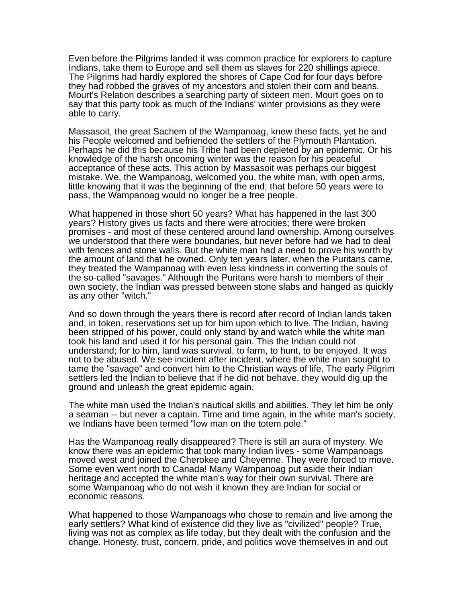Even before the Pilgrims landed it was common practice for explorers to capture Indians, take them to Europe and sell them as slaves for 220 shillings apiece. The Pilgrims had hardly explored the shores of Cape Cod for four days before they had robbed the graves of my ancestors and stolen their corn and beans. Mourt's Relation describes a searching party of sixteen men. Mourt goes on to say that this party took as much of the Indians' winter provisions as they were able to carry.

Massasoit, the great Sachem of the Wampanoag, knew these facts, yet he and his People welcomed and befriended the settlers of the Plymouth Plantation. Perhaps he did this because his Tribe had been depleted by an epidemic. Or his knowledge of the harsh oncoming winter was the reason for his peaceful acceptance of these acts. This action by Massasoit was perhaps our biggest mistake. We, the Wampanoag, welcomed you, the white man, with open arms, little knowing that it was the beginning of the end; that before 50 years were to pass, the Wampanoag would no longer be a free people.

What happened in those short 50 years? What has happened in the last 300 years? History gives us facts and there were atrocities; there were broken promises - and most of these centered around land ownership. Among ourselves we understood that there were boundaries, but never before had we had to deal with fences and stone walls. But the white man had a need to prove his worth by the amount of land that he owned. Only ten years later, when the Puritans came, they treated the Wampanoag with even less kindness in converting the souls of the so-called "savages." Although the Puritans were harsh to members of their own society, the Indian was pressed between stone slabs and hanged as quickly as any other "witch."

And so down through the years there is record after record of Indian lands taken and, in token, reservations set up for him upon which to live. The Indian, having been stripped of his power, could only stand by and watch while the white man took his land and used it for his personal gain. This the Indian could not understand; for to him, land was survival, to farm, to hunt, to be enjoyed. It was not to be abused. We see incident after incident, where the white man sought to tame the "savage" and convert him to the Christian ways of life. The early Pilgrim settlers led the Indian to believe that if he did not behave, they would dig up the ground and unleash the great epidemic again.

The white man used the Indian's nautical skills and abilities. They let him be only a seaman -- but never a captain. Time and time again, in the white man's society, we Indians have been termed "low man on the totem pole."

Has the Wampanoag really disappeared? There is still an aura of mystery. We know there was an epidemic that took many Indian lives - some Wampanoags moved west and joined the Cherokee and Cheyenne. They were forced to move. Some even went north to Canada! Many Wampanoag put aside their Indian heritage and accepted the white man's way for their own survival. There are some Wampanoag who do not wish it known they are Indian for social or economic reasons.

What happened to those Wampanoags who chose to remain and live among the early settlers? What kind of existence did they live as "civilized" people? True, living was not as complex as life today, but they dealt with the confusion and the change. Honesty, trust, concern, pride, and politics wove themselves in and out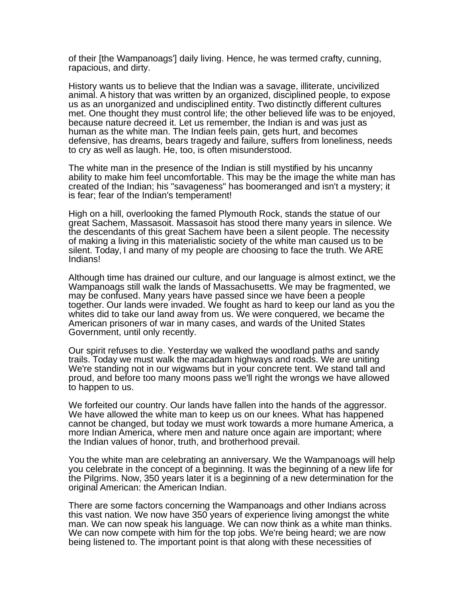of their [the Wampanoags'] daily living. Hence, he was termed crafty, cunning, rapacious, and dirty.

History wants us to believe that the Indian was a savage, illiterate, uncivilized animal. A history that was written by an organized, disciplined people, to expose us as an unorganized and undisciplined entity. Two distinctly different cultures met. One thought they must control life; the other believed life was to be enjoyed, because nature decreed it. Let us remember, the Indian is and was just as human as the white man. The Indian feels pain, gets hurt, and becomes defensive, has dreams, bears tragedy and failure, suffers from loneliness, needs to cry as well as laugh. He, too, is often misunderstood.

The white man in the presence of the Indian is still mystified by his uncanny ability to make him feel uncomfortable. This may be the image the white man has created of the Indian; his "savageness" has boomeranged and isn't a mystery; it is fear; fear of the Indian's temperament!

High on a hill, overlooking the famed Plymouth Rock, stands the statue of our great Sachem, Massasoit. Massasoit has stood there many years in silence. We the descendants of this great Sachem have been a silent people. The necessity of making a living in this materialistic society of the white man caused us to be silent. Today, I and many of my people are choosing to face the truth. We ARE Indians!

Although time has drained our culture, and our language is almost extinct, we the Wampanoags still walk the lands of Massachusetts. We may be fragmented, we may be confused. Many years have passed since we have been a people together. Our lands were invaded. We fought as hard to keep our land as you the whites did to take our land away from us. We were conquered, we became the American prisoners of war in many cases, and wards of the United States Government, until only recently.

Our spirit refuses to die. Yesterday we walked the woodland paths and sandy trails. Today we must walk the macadam highways and roads. We are uniting We're standing not in our wigwams but in your concrete tent. We stand tall and proud, and before too many moons pass we'll right the wrongs we have allowed to happen to us.

We forfeited our country. Our lands have fallen into the hands of the aggressor. We have allowed the white man to keep us on our knees. What has happened cannot be changed, but today we must work towards a more humane America, a more Indian America, where men and nature once again are important; where the Indian values of honor, truth, and brotherhood prevail.

You the white man are celebrating an anniversary. We the Wampanoags will help you celebrate in the concept of a beginning. It was the beginning of a new life for the Pilgrims. Now, 350 years later it is a beginning of a new determination for the original American: the American Indian.

There are some factors concerning the Wampanoags and other Indians across this vast nation. We now have 350 years of experience living amongst the white man. We can now speak his language. We can now think as a white man thinks. We can now compete with him for the top jobs. We're being heard; we are now being listened to. The important point is that along with these necessities of